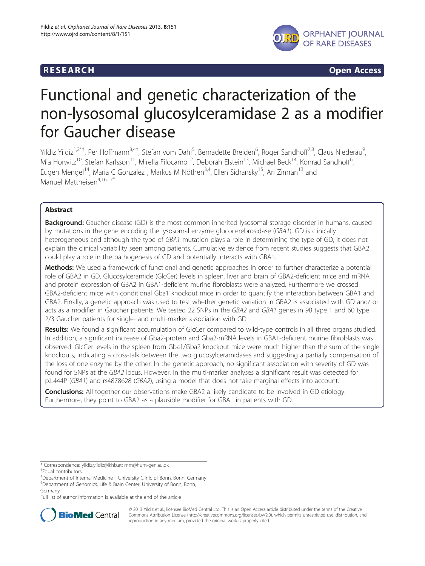

**RESEARCH RESEARCH CONSUMING ACCESS** 

# Functional and genetic characterization of the non-lysosomal glucosylceramidase 2 as a modifier for Gaucher disease

Yildiz Yildiz<sup>1,2\*†</sup>, Per Hoffmann<sup>3,4†</sup>, Stefan vom Dahl<sup>5</sup>, Bernadette Breiden<sup>6</sup>, Roger Sandhoff<sup>7,8</sup>, Claus Niederau<sup>9</sup> , Mia Horwitz<sup>10</sup>, Stefan Karlsson<sup>11</sup>, Mirella Filocamo<sup>12</sup>, Deborah Elstein<sup>13</sup>, Michael Beck<sup>14</sup>, Konrad Sandhoff<sup>6</sup>, , Eugen Mengel<sup>14</sup>, Maria C Gonzalez<sup>1</sup>, Markus M Nöthen<sup>3,4</sup>, Ellen Sidransky<sup>15</sup>, Ari Zimran<sup>13</sup> and Manuel Mattheisen<sup>4,16,17\*</sup>

# Abstract

**Background:** Gaucher disease (GD) is the most common inherited lysosomal storage disorder in humans, caused by mutations in the gene encoding the lysosomal enzyme glucocerebrosidase (GBA1). GD is clinically heterogeneous and although the type of GBA1 mutation plays a role in determining the type of GD, it does not explain the clinical variability seen among patients. Cumulative evidence from recent studies suggests that GBA2 could play a role in the pathogenesis of GD and potentially interacts with GBA1.

Methods: We used a framework of functional and genetic approaches in order to further characterize a potential role of GBA2 in GD. Glucosylceramide (GlcCer) levels in spleen, liver and brain of GBA2-deficient mice and mRNA and protein expression of GBA2 in GBA1-deficient murine fibroblasts were analyzed. Furthermore we crossed GBA2-deficient mice with conditional Gba1 knockout mice in order to quantify the interaction between GBA1 and GBA2. Finally, a genetic approach was used to test whether genetic variation in GBA2 is associated with GD and/ or acts as a modifier in Gaucher patients. We tested 22 SNPs in the GBA2 and GBA1 genes in 98 type 1 and 60 type 2/3 Gaucher patients for single- and multi-marker association with GD.

Results: We found a significant accumulation of GlcCer compared to wild-type controls in all three organs studied. In addition, a significant increase of Gba2-protein and Gba2-mRNA levels in GBA1-deficient murine fibroblasts was observed. GlcCer levels in the spleen from Gba1/Gba2 knockout mice were much higher than the sum of the single knockouts, indicating a cross-talk between the two glucosylceramidases and suggesting a partially compensation of the loss of one enzyme by the other. In the genetic approach, no significant association with severity of GD was found for SNPs at the GBA2 locus. However, in the multi-marker analyses a significant result was detected for p.L444P (GBA1) and rs4878628 (GBA2), using a model that does not take marginal effects into account.

**Conclusions:** All together our observations make GBA2 a likely candidate to be involved in GD etiology. Furthermore, they point to GBA2 as a plausible modifier for GBA1 in patients with GD.

Full list of author information is available at the end of the article



© 2013 Yildiz et al.; licensee BioMed Central Ltd. This is an Open Access article distributed under the terms of the Creative Commons Attribution License [\(http://creativecommons.org/licenses/by/2.0\)](http://creativecommons.org/licenses/by/2.0), which permits unrestricted use, distribution, and reproduction in any medium, provided the original work is properly cited.

<sup>\*</sup> Correspondence: [yildiz.yildiz@lkhb.at;](mailto:yildiz.yildiz@lkhb.at) [mm@hum-gen.au.dk](mailto:mm@hum-gen.au.dk) †

Equal contributors

<sup>&</sup>lt;sup>1</sup>Department of Internal Medicine I, University Clinic of Bonn, Bonn, Germany 4 Department of Genomics, Life & Brain Center, University of Bonn, Bonn, Germany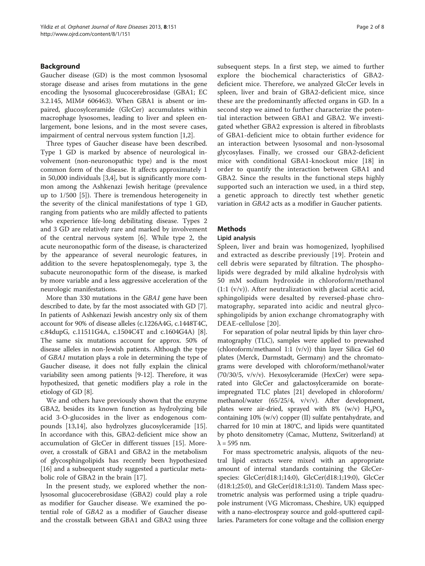#### Background

Gaucher disease (GD) is the most common lysosomal storage disease and arises from mutations in the gene encoding the lysosomal glucocerebrosidase (GBA1; EC 3.2.145, MIM# 606463). When GBA1 is absent or impaired, glucosylceramide (GlcCer) accumulates within macrophage lysosomes, leading to liver and spleen enlargement, bone lesions, and in the most severe cases, impairment of central nervous system function [[1,2\]](#page-7-0).

Three types of Gaucher disease have been described. Type 1 GD is marked by absence of neurological involvement (non-neuronopathic type) and is the most common form of the disease. It affects approximately 1 in 50,000 individuals [\[3,4](#page-7-0)], but is significantly more common among the Ashkenazi Jewish heritage (prevalence up to 1/500 [\[5](#page-7-0)]). There is tremendous heterogeneity in the severity of the clinical manifestations of type 1 GD, ranging from patients who are mildly affected to patients who experience life-long debilitating disease. Types 2 and 3 GD are relatively rare and marked by involvement of the central nervous system [\[6](#page-7-0)]. While type 2, the acute neuronopathic form of the disease, is characterized by the appearance of several neurologic features, in addition to the severe hepatosplenomegaly, type 3, the subacute neuronopathic form of the disease, is marked by more variable and a less aggressive acceleration of the neurologic manifestations.

More than 330 mutations in the GBA1 gene have been described to date, by far the most associated with GD [[7](#page-7-0)]. In patients of Ashkenazi Jewish ancestry only six of them account for 90% of disease alleles (c.1226A4G, c.1448T4C, c.84dupG, c.11511G4A, c.1504C4T and c.1604G4A) [[8](#page-7-0)]. The same six mutations account for approx. 50% of disease alleles in non-Jewish patients. Although the type of GBA1 mutation plays a role in determining the type of Gaucher disease, it does not fully explain the clinical variability seen among patients [\[9](#page-7-0)-[12](#page-7-0)]. Therefore, it was hypothesized, that genetic modifiers play a role in the etiology of GD [\[8\]](#page-7-0).

We and others have previously shown that the enzyme GBA2, besides its known function as hydrolyzing bile acid 3-O-glucosides in the liver as endogenous compounds [\[13,14\]](#page-7-0), also hydrolyzes glucosylceramide [\[15](#page-7-0)]. In accordance with this, GBA2-deficient mice show an accumulation of GlcCer in different tissues [\[15](#page-7-0)]. Moreover, a crosstalk of GBA1 and GBA2 in the metabolism of glycosphingolipids has recently been hypothesized [[16\]](#page-7-0) and a subsequent study suggested a particular metabolic role of GBA2 in the brain [[17\]](#page-7-0).

In the present study, we explored whether the nonlysosomal glucocerebrosidase (GBA2) could play a role as modifier for Gaucher disease. We examined the potential role of GBA2 as a modifier of Gaucher disease and the crosstalk between GBA1 and GBA2 using three subsequent steps. In a first step, we aimed to further explore the biochemical characteristics of GBA2 deficient mice. Therefore, we analyzed GlcCer levels in spleen, liver and brain of GBA2-deficient mice, since these are the predominantly affected organs in GD. In a second step we aimed to further characterize the potential interaction between GBA1 and GBA2. We investigated whether GBA2 expression is altered in fibroblasts of GBA1-deficient mice to obtain further evidence for an interaction between lysosomal and non-lysosomal glycosylases. Finally, we crossed our GBA2-deficient mice with conditional GBA1-knockout mice [\[18](#page-7-0)] in order to quantify the interaction between GBA1 and GBA2. Since the results in the functional steps highly supported such an interaction we used, in a third step, a genetic approach to directly test whether genetic variation in GBA2 acts as a modifier in Gaucher patients.

#### Methods

#### Lipid analysis

Spleen, liver and brain was homogenized, lyophilised and extracted as describe previously [[19\]](#page-7-0). Protein and cell debris were separated by filtration. The phospholipids were degraded by mild alkaline hydrolysis with 50 mM sodium hydroxide in chloroform/methanol (1:1 (v/v)). After neutralization with glacial acetic acid, sphingolipids were desalted by reversed-phase chromatography, separated into acidic and neutral glycosphingolipids by anion exchange chromatography with DEAE-cellulose [[20\]](#page-7-0).

For separation of polar neutral lipids by thin layer chromatography (TLC), samples were applied to prewashed (chloroform/methanol 1:1  $(v/v)$ ) thin layer Silica Gel 60 plates (Merck, Darmstadt, Germany) and the chromatograms were developed with chloroform/methanol/water (70/30/5, v/v/v). Hexosylceramide (HexCer) were separated into GlcCer and galactosylceramide on borateimpregnated TLC plates [\[21\]](#page-7-0) developed in chloroform/ methanol/water (65/25/4, v/v/v). After development, plates were air-dried, sprayed with 8% (w/v)  $H_3PO_4$ containing 10% (w/v) copper (II) sulfate pentahydrate, and charred for 10 min at 180°C, and lipids were quantitated by photo densitometry (Camac, Muttenz, Switzerland) at  $\lambda$  = 595 nm.

For mass spectrometric analysis, aliquots of the neutral lipid extracts were mixed with an appropriate amount of internal standards containing the GlcCerspecies: GlcCer(d18:1;14:0), GlcCer(d18:1;19:0), GlcCer  $(d18:1;25:0)$ , and  $GlcCer(d18:1;31:0)$ . Tandem Mass spectrometric analysis was performed using a triple quadrupole instrument (VG Micromass, Cheshire, UK) equipped with a nano-electrospray source and gold-sputtered capillaries. Parameters for cone voltage and the collision energy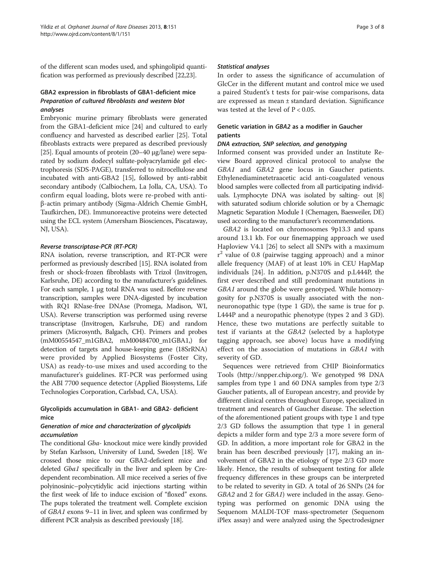of the different scan modes used, and sphingolipid quantification was performed as previously described [\[22,23](#page-7-0)].

#### GBA2 expression in fibroblasts of GBA1-deficient mice Preparation of cultured fibroblasts and western blot analyses

Embryonic murine primary fibroblasts were generated from the GBA1-deficient mice [[24\]](#page-7-0) and cultured to early confluency and harvested as described earlier [\[25](#page-7-0)]. Total fibroblasts extracts were prepared as described previously [[25](#page-7-0)]. Equal amounts of protein (20–40 μg/lane) were separated by sodium dodecyl sulfate-polyacrylamide gel electrophoresis (SDS-PAGE), transferred to nitrocellulose and incubated with anti-GBA2 [\[15\]](#page-7-0), followed by anti-rabbit secondary antibody (Calbiochem, La Jolla, CA, USA). To confirm equal loading, blots were re-probed with antiβ-actin primary antibody (Sigma-Aldrich Chemie GmbH, Taufkirchen, DE). Immunoreactive proteins were detected using the ECL system (Amersham Biosciences, Piscataway, NJ, USA).

#### Reverse transcriptase-PCR (RT-PCR)

RNA isolation, reverse transcription, and RT-PCR were performed as previously described [\[15\]](#page-7-0). RNA isolated from fresh or shock-frozen fibroblasts with Trizol (Invitrogen, Karlsruhe, DE) according to the manufacturer's guidelines. For each sample, 1 μg total RNA was used. Before reverse transcription, samples were DNA-digested by incubation with RQ1 RNase-free DNAse (Promega, Madison, WI, USA). Reverse transcription was performed using reverse transcriptase (Invitrogen, Karlsruhe, DE) and random primers (Microsynth, Balgach, CH). Primers and probes (mM00554547\_m1GBA2, mM00484700\_m1GBA1,) for detection of targets and house-keeping gene (18SrRNA) were provided by Applied Biosystems (Foster City, USA) as ready-to-use mixes and used according to the manufacturer's guidelines. RT-PCR was performed using the ABI 7700 sequence detector (Applied Biosystems, Life Technologies Corporation, Carlsbad, CA, USA).

# Glycolipids accumulation in GBA1- and GBA2- deficient mice

# Generation of mice and characterization of glycolipids accumulation

The conditional Gba- knockout mice were kindly provided by Stefan Karlsson, University of Lund, Sweden [\[18](#page-7-0)]. We crossed those mice to our GBA2-deficient mice and deleted Gba1 specifically in the liver and spleen by Credependent recombination. All mice received a series of five polyinosinic–polycytidylic acid injections starting within the first week of life to induce excision of "floxed" exons. The pups tolerated the treatment well. Complete excision of GBA1 exons 9–11 in liver, and spleen was confirmed by different PCR analysis as described previously [\[18\]](#page-7-0).

#### Statistical analyses

In order to assess the significance of accumulation of GlcCer in the different mutant and control mice we used a paired Student's t tests for pair-wise comparisons, data are expressed as mean ± standard deviation. Significance was tested at the level of P < 0.05.

# Genetic variation in GBA2 as a modifier in Gaucher patients

#### DNA extraction, SNP selection, and genotyping

Informed consent was provided under an Institute Review Board approved clinical protocol to analyse the GBA1 and GBA2 gene locus in Gaucher patients. Ethylenediaminetetraacetic acid anti-coagulated venous blood samples were collected from all participating individuals. Lymphocyte DNA was isolated by salting- out [[8](#page-7-0)] with saturated sodium chloride solution or by a Chemagic Magnetic Separation Module I (Chemagen, Baesweiler, DE) used according to the manufacturer's recommendations.

GBA2 is located on chromosomes 9p13.3 and spans around 13.1 kb. For our finemapping approach we used Haploview V4.1 [\[26](#page-7-0)] to select all SNPs with a maximum r <sup>2</sup> value of 0.8 (pairwise tagging approach) and a minor allele frequency (MAF) of at least 10% in CEU HapMap individuals [\[24](#page-7-0)]. In addition, p.N370S and p.L444P, the first ever described and still predominant mutations in GBA1 around the globe were genotyped. While homozygosity for p.N370S is usually associated with the nonneuronopathic type (type 1 GD), the same is true for p. L444P and a neuropathic phenotype (types 2 and 3 GD). Hence, these two mutations are perfectly suitable to test if variants at the GBA2 (selected by a haplotype tagging approach, see above) locus have a modifying effect on the association of mutations in GBA1 with severity of GD.

Sequences were retrieved from CHIP Bioinformatics Tools (<http://snpper.chip.org/>). We genotyped 98 DNA samples from type 1 and 60 DNA samples from type 2/3 Gaucher patients, all of European ancestry, and provide by different clinical centres throughout Europe, specialized in treatment and research of Gaucher disease. The selection of the aforementioned patient groups with type 1 and type 2/3 GD follows the assumption that type 1 in general depicts a milder form and type 2/3 a more severe form of GD. In addition, a more important role for GBA2 in the brain has been described previously [[17](#page-7-0)], making an involvement of GBA2 in the etiology of type 2/3 GD more likely. Hence, the results of subsequent testing for allele frequency differences in these groups can be interpreted to be related to severity in GD. A total of 26 SNPs (24 for GBA2 and 2 for GBA1) were included in the assay. Genotyping was performed on genomic DNA using the Sequenom MALDI-TOF mass-spectrometer (Sequenom iPlex assay) and were analyzed using the Spectrodesigner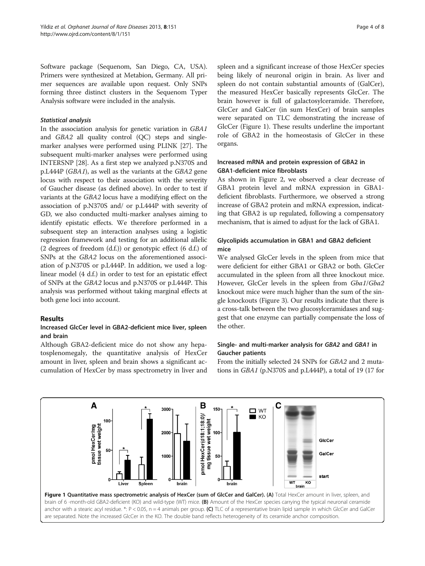Software package (Sequenom, San Diego, CA, USA). Primers were synthesized at Metabion, Germany. All primer sequences are available upon request. Only SNPs forming three distinct clusters in the Sequenom Typer Analysis software were included in the analysis.

#### Statistical analysis

In the association analysis for genetic variation in GBA1 and GBA2 all quality control (QC) steps and singlemarker analyses were performed using PLINK [[27](#page-7-0)]. The subsequent multi-marker analyses were performed using INTERSNP [\[28](#page-7-0)]. As a first step we analyzed p.N370S and p.L444P (GBA1), as well as the variants at the GBA2 gene locus with respect to their association with the severity of Gaucher disease (as defined above). In order to test if variants at the GBA2 locus have a modifying effect on the association of p.N370S and/ or p.L444P with severity of GD, we also conducted multi-marker analyses aiming to identify epistatic effects. We therefore performed in a subsequent step an interaction analyses using a logistic regression framework and testing for an additional allelic (2 degrees of freedom  $(d.f.)$ ) or genotypic effect (6 d.f.) of SNPs at the GBA2 locus on the aforementioned association of p.N370S or p.L444P. In addition, we used a loglinear model (4 d.f.) in order to test for an epistatic effect of SNPs at the GBA2 locus and p.N370S or p.L444P. This analysis was performed without taking marginal effects at both gene loci into account.

#### Results

#### Increased GlcCer level in GBA2-deficient mice liver, spleen and brain

Although GBA2-deficient mice do not show any hepatosplenomegaly, the quantitative analysis of HexCer amount in liver, spleen and brain shows a significant accumulation of HexCer by mass spectrometry in liver and

spleen and a significant increase of those HexCer species being likely of neuronal origin in brain. As liver and spleen do not contain substantial amounts of (GalCer), the measured HexCer basically represents GlcCer. The brain however is full of galactosylceramide. Therefore, GlcCer and GalCer (in sum HexCer) of brain samples were separated on TLC demonstrating the increase of GlcCer (Figure 1). These results underline the important role of GBA2 in the homeostasis of GlcCer in these organs.

#### Increased mRNA and protein expression of GBA2 in GBA1-deficient mice fibroblasts

As shown in Figure [2](#page-4-0), we observed a clear decrease of GBA1 protein level and mRNA expression in GBA1 deficient fibroblasts. Furthermore, we observed a strong increase of GBA2 protein and mRNA expression, indicating that GBA2 is up regulated, following a compensatory mechanism, that is aimed to adjust for the lack of GBA1.

# Glycolipids accumulation in GBA1 and GBA2 deficient mice

We analysed GlcCer levels in the spleen from mice that were deficient for either GBA1 or GBA2 or both. GlcCer accumulated in the spleen from all three knockout mice. However, GlcCer levels in the spleen from Gba1/Gba2 knockout mice were much higher than the sum of the single knockouts (Figure [3](#page-4-0)). Our results indicate that there is a cross-talk between the two glucosylceramidases and suggest that one enzyme can partially compensate the loss of the other.

# Single- and multi-marker analysis for GBA2 and GBA1 in Gaucher patients

From the initially selected 24 SNPs for GBA2 and 2 mutations in GBA1 (p.N370S and p.L444P), a total of 19 (17 for

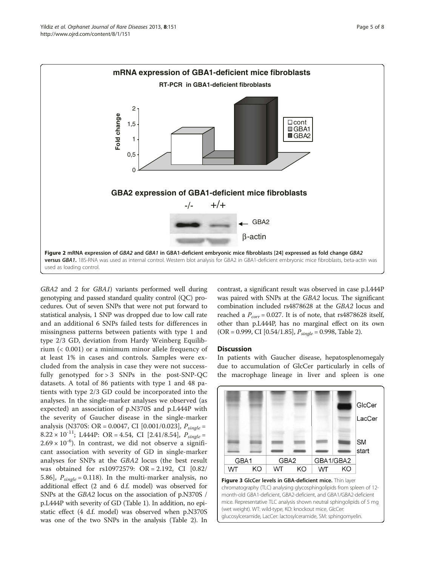<span id="page-4-0"></span>

GBA2 and 2 for GBA1) variants performed well during genotyping and passed standard quality control (QC) procedures. Out of seven SNPs that were not put forward to statistical analysis, 1 SNP was dropped due to low call rate and an additional 6 SNPs failed tests for differences in missingness patterns between patients with type 1 and type 2/3 GD, deviation from Hardy Weinberg Equilibrium (< 0.001) or a minimum minor allele frequency of at least 1% in cases and controls. Samples were excluded from the analysis in case they were not successfully genotyped for  $> 3$  SNPs in the post-SNP-QC datasets. A total of 86 patients with type 1 and 48 patients with type 2/3 GD could be incorporated into the analyses. In the single-marker analyses we observed (as expected) an association of p.N370S and p.L444P with the severity of Gaucher disease in the single-marker analysis (N370S: OR = 0.0047, CI [0.001/0.023],  $P_{\text{single}} =$ 8.22 × 10<sup>-11</sup>; L444P: OR = 4.54, CI [2.41/8.54],  $P_{\text{single}} =$  $2.69 \times 10^{-6}$ ). In contrast, we did not observe a significant association with severity of GD in single-marker analyses for SNPs at the GBA2 locus (the best result was obtained for rs10972579: OR = 2.192, CI [0.82/ 5.86],  $P_{single} = 0.118$ ). In the multi-marker analysis, no additional effect (2 and 6 d.f. model) was observed for SNPs at the GBA2 locus on the association of p.N370S / p.L444P with severity of GD (Table [1](#page-5-0)). In addition, no epistatic effect (4 d.f. model) was observed when p.N370S was one of the two SNPs in the analysis (Table [2](#page-6-0)). In contrast, a significant result was observed in case p.L444P was paired with SNPs at the GBA2 locus. The significant combination included rs4878628 at the GBA2 locus and reached a  $P_{corr}$  = 0.027. It is of note, that rs4878628 itself, other than p.L444P, has no marginal effect on its own (OR = 0.999, CI [0.54/1.85],  $P_{single} = 0.998$ , Table [2\)](#page-6-0).

#### **Discussion**

In patients with Gaucher disease, hepatosplenomegaly due to accumulation of GlcCer particularly in cells of the macrophage lineage in liver and spleen is one



chromatography (TLC) analysing glycosphingolipids from spleen of 12 month-old GBA1-deficient, GBA2-deficient, and GBA1/GBA2-deficient mice. Representative TLC analysis shown neutral sphingolipids of 5 mg (wet weight). WT: wild-type, KO: knockout mice, GlcCer: glucosylceramide, LacCer: lactosylceramide, SM: sphingomyelin.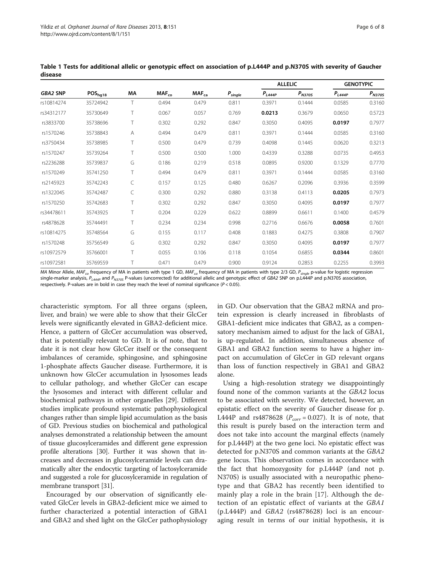| <b>GBA2 SNP</b> | POS <sub>hg18</sub> | ΜA | $MAF_{co}$ | MAF <sub>ca</sub> | $P_{single}$ | <b>ALLELIC</b> |             | <b>GENOTYPIC</b> |             |
|-----------------|---------------------|----|------------|-------------------|--------------|----------------|-------------|------------------|-------------|
|                 |                     |    |            |                   |              | $P_{L444P}$    | $P_{N3705}$ | $P_{L444P}$      | $P_{N3705}$ |
| rs10814274      | 35724942            | T  | 0.494      | 0.479             | 0.811        | 0.3971         | 0.1444      | 0.0585           | 0.3160      |
| rs34312177      | 35730649            |    | 0.067      | 0.057             | 0.769        | 0.0213         | 0.3679      | 0.0650           | 0.5723      |
| rs3833700       | 35738696            | Τ  | 0.302      | 0.292             | 0.847        | 0.3050         | 0.4095      | 0.0197           | 0.7977      |
| rs1570246       | 35738843            | Α  | 0.494      | 0.479             | 0.811        | 0.3971         | 0.1444      | 0.0585           | 0.3160      |
| rs3750434       | 35738985            |    | 0.500      | 0.479             | 0.739        | 0.4098         | 0.1445      | 0.0620           | 0.3213      |
| rs1570247       | 35739264            | Τ  | 0.500      | 0.500             | 1.000        | 0.4339         | 0.3288      | 0.0735           | 0.4953      |
| rs2236288       | 35739837            | G  | 0.186      | 0.219             | 0.518        | 0.0895         | 0.9200      | 0.1329           | 0.7770      |
| rs1570249       | 35741250            | Τ  | 0.494      | 0.479             | 0.811        | 0.3971         | 0.1444      | 0.0585           | 0.3160      |
| rs2145923       | 35742243            | C  | 0.157      | 0.125             | 0.480        | 0.6267         | 0.2096      | 0.3936           | 0.3599      |
| rs1322045       | 35742487            |    | 0.300      | 0.292             | 0.880        | 0.3138         | 0.4113      | 0.0205           | 0.7973      |
| rs1570250       | 35742683            |    | 0.302      | 0.292             | 0.847        | 0.3050         | 0.4095      | 0.0197           | 0.7977      |
| rs34478611      | 35743925            |    | 0.204      | 0.229             | 0.622        | 0.8899         | 0.6611      | 0.1400           | 0.4579      |
| rs4878628       | 35744491            | Τ  | 0.234      | 0.234             | 0.998        | 0.2716         | 0.6676      | 0.0058           | 0.7601      |
| rs10814275      | 35748564            | G  | 0.155      | 0.117             | 0.408        | 0.1883         | 0.4275      | 0.3808           | 0.7907      |
| rs1570248       | 35756549            | G  | 0.302      | 0.292             | 0.847        | 0.3050         | 0.4095      | 0.0197           | 0.7977      |
| rs10972579      | 35766001            |    | 0.055      | 0.106             | 0.118        | 0.1054         | 0.6855      | 0.0344           | 0.8601      |
| rs10972581      | 35769559            |    | 0.471      | 0.479             | 0.900        | 0.9124         | 0.2853      | 0.2255           | 0.3993      |

<span id="page-5-0"></span>Table 1 Tests for additional allelic or genotypic effect on association of p.L444P and p.N370S with severity of Gaucher disease

MA Minor Allele, MAF<sub>co</sub> frequency of MA in patients with type 1 GD, MAF<sub>ca</sub> frequency of MA in patients with type 2/3 GD,  $P_{single}$  p-value for logistic regression single-marker analysis,  $P_{L444P}$  and  $P_{N3705}$  P-values (uncorrected) for additional allelic and genotypic effect of GBA2 SNP on p.L444P and p.N370S association, respectively. P-values are in bold in case they reach the level of nominal significance ( $P < 0.05$ ).

characteristic symptom. For all three organs (spleen, liver, and brain) we were able to show that their GlcCer levels were significantly elevated in GBA2-deficient mice. Hence, a pattern of GlcCer accumulation was observed, that is potentially relevant to GD. It is of note, that to date it is not clear how GlcCer itself or the consequent imbalances of ceramide, sphingosine, and sphingosine 1-phosphate affects Gaucher disease. Furthermore, it is unknown how GlcCer accumulation in lysosomes leads to cellular pathology, and whether GlcCer can escape the lysosomes and interact with different cellular and biochemical pathways in other organelles [\[29](#page-7-0)]. Different studies implicate profound systematic pathophysiological changes rather than simple lipid accumulation as the basis of GD. Previous studies on biochemical and pathological analyses demonstrated a relationship between the amount of tissue glucosylceramides and different gene expression profile alterations [\[30](#page-7-0)]. Further it was shown that increases and decreases in glucosylceramide levels can dramatically alter the endocytic targeting of lactosylceramide and suggested a role for glucosylceramide in regulation of membrane transport [\[31\]](#page-7-0).

Encouraged by our observation of significantly elevated GlcCer levels in GBA2-deficient mice we aimed to further characterized a potential interaction of GBA1 and GBA2 and shed light on the GlcCer pathophysiology in GD. Our observation that the GBA2 mRNA and protein expression is clearly increased in fibroblasts of GBA1-deficient mice indicates that GBA2, as a compensatory mechanism aimed to adjust for the lack of GBA1, is up-regulated. In addition, simultaneous absence of GBA1 and GBA2 function seems to have a higher impact on accumulation of GlcCer in GD relevant organs than loss of function respectively in GBA1 and GBA2 alone.

Using a high-resolution strategy we disappointingly found none of the common variants at the GBA2 locus to be associated with severity. We detected, however, an epistatic effect on the severity of Gaucher disease for p. L444P and rs4878628 ( $P_{corr} = 0.027$ ). It is of note, that this result is purely based on the interaction term and does not take into account the marginal effects (namely for p.L444P) at the two gene loci. No epistatic effect was detected for p.N370S and common variants at the GBA2 gene locus. This observation comes in accordance with the fact that homozygosity for p.L444P (and not p. N370S) is usually associated with a neuropathic phenotype and that GBA2 has recently been identified to mainly play a role in the brain [[17\]](#page-7-0). Although the detection of an epistatic effect of variants at the GBA1 (p.L444P) and GBA2 (rs4878628) loci is an encouraging result in terms of our initial hypothesis, it is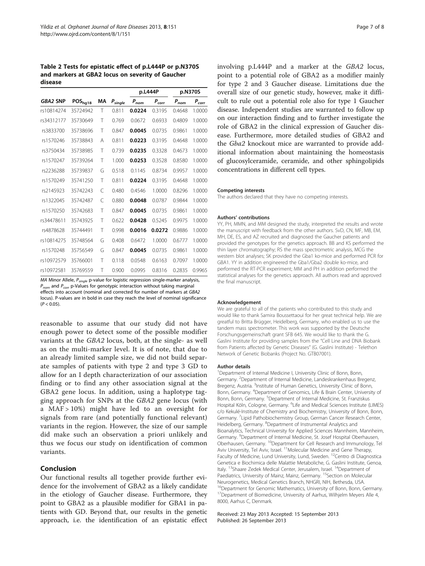<span id="page-6-0"></span>Table 2 Tests for epistatic effect of p.L444P or p.N370S and markers at GBA2 locus on severity of Gaucher disease

|                 |              |    |              |           | p.L444P        | p.N370S   |            |
|-----------------|--------------|----|--------------|-----------|----------------|-----------|------------|
| <b>GBA2 SNP</b> | $POS_{hg18}$ | МA | $P_{single}$ | $P_{nom}$ | $P_{\it corr}$ | $P_{nom}$ | $P_{corr}$ |
| rs10814274      | 35724942     | T  | 0.811        | 0.0224    | 0.3195         | 0.4648    | 1.0000     |
| rs34312177      | 35730649     | Τ  | 0.769        | 0.0672    | 0.6933         | 0.4809    | 1.0000     |
| rs3833700       | 35738696     | Τ  | 0.847        | 0.0045    | 0.0735         | 0.9861    | 1.0000     |
| rs1570246       | 35738843     | A  | 0.811        | 0.0223    | 0.3195         | 0.4648    | 1.0000     |
| rs3750434       | 35738985     | Τ  | 0.739        | 0.0235    | 0.3328         | 0.4673    | 1.0000     |
| rs1570247       | 35739264     | T  | 1.000        | 0.0253    | 0.3528         | 0.8580    | 1.0000     |
| rs2236288       | 35739837     | G  | 0.518        | 0.1145    | 0.8734         | 0.9957    | 1.0000     |
| rs1570249       | 35741250     | Τ  | 0.811        | 0.0224    | 0.3195         | 0.4648    | 1.0000     |
| rs2145923       | 35742243     | C  | 0.480        | 0.4546    | 1.0000         | 0.8296    | 1.0000     |
| rs1322045       | 35742487     | C  | 0.880        | 0.0048    | 0.0787         | 0.9844    | 1.0000     |
| rs1570250       | 35742683     | T  | 0.847        | 0.0045    | 0.0735         | 0.9861    | 1.0000     |
| rs34478611      | 35743925     | Τ  | 0.622        | 0.0428    | 0.5245         | 0.9975    | 1.0000     |
| rs4878628       | 35744491     | Τ  | 0.998        | 0.0016    | 0.0272         | 0.9886    | 1.0000     |
| rs10814275      | 35748564     | G  | 0.408        | 0.6472    | 1.0000         | 0.6777    | 1.0000     |
| rs1570248       | 35756549     | G  | 0.847        | 0.0045    | 0.0735         | 0.9861    | 1.0000     |
| rs10972579      | 35766001     | Τ  | 0.118        | 0.0548    | 0.6163         | 0.7097    | 1.0000     |
| rs10972581      | 35769559     | Τ  | 0.900        | 0.0995    | 0.8316         | 0.2835    | 0.9965     |

MA Minor Allele,  $P_{single}$  p-value for logistic regression single-marker analysis,  $P_{nom}$  and  $P_{corr}$  p-Values for genotypic interaction without taking marginal effects into account (nominal and corrected for number of markers at GBA2 locus). P-values are in bold in case they reach the level of nominal significance  $(P < 0.05)$ .

reasonable to assume that our study did not have enough power to detect some of the possible modifier variants at the GBA2 locus, both, at the single- as well as on the multi-marker level. It is of note, that due to an already limited sample size, we did not build separate samples of patients with type 2 and type 3 GD to allow for an I depth characterization of our association finding or to find any other association signal at the GBA2 gene locus. In addition, using a haplotype tagging approach for SNPs at the GBA2 gene locus (with a MAF > 10%) might have led to an oversight for signals from rare (and potentially functional relevant) variants in the region. However, the size of our sample did make such an observation a priori unlikely and thus we focus our study on identification of common variants.

# Conclusion

Our functional results all together provide further evidence for the involvement of GBA2 as a likely candidate in the etiology of Gaucher disease. Furthermore, they point to GBA2 as a plausible modifier for GBA1 in patients with GD. Beyond that, our results in the genetic approach, i.e. the identification of an epistatic effect involving p.L444P and a marker at the GBA2 locus, point to a potential role of GBA2 as a modifier mainly for type 2 and 3 Gaucher disease. Limitations due the overall size of our genetic study, however, make it difficult to rule out a potential role also for type 1 Gaucher disease. Independent studies are warranted to follow up on our interaction finding and to further investigate the role of GBA2 in the clinical expression of Gaucher disease. Furthermore, more detailed studies of GBA2 and the Gba2 knockout mice are warranted to provide additional information about maintaining the homeostasis of glucosylceramide, ceramide, and other sphingolipids concentrations in different cell types.

#### Competing interests

The authors declared that they have no competing interests.

#### Authors' contributions

YY, PH, MMN, and MM designed the study, interpreted the results and wrote the manuscript with feedback from the other authors. SvD, CN, MF, MB, EM, MH, DE, ES, and AZ recruited and diagnosed the Gaucher patients and provided the genotypes for the genetics approach. BB and KS performed the thin layer chromatography; RS the mass spectrometric analysis, MCG the western blot analyses; SK provided the Gba1 ko-mice and performed PCR for GBA1. YY in addition engineered the Gba1/Gba2 double ko-mice, and performed the RT-PCR experiment; MM and PH in addition performed the statistical analyses for the genetics approach. All authors read and approved the final manuscript.

#### Acknowledgement

We are grateful to all of the patients who contributed to this study and would like to thank Samira Boussettaoui for her great technical help. We are greatful to Britta Brügger, Heidelberg, Germany, who enabled us to use the tandem mass spectrometer. This work was supported by the Deutsche Forschungsgemeinschaft grant SFB 645. We would like to thank the G. Gaslini Institute for providing samples from the "Cell Line and DNA Biobank from Patients affected by Genetic Diseases" (G. Gaslini Institute) - Telethon Network of Genetic Biobanks (Project No. GTB07001).

#### Author details

<sup>1</sup>Department of Internal Medicine I, University Clinic of Bonn, Bonn, Germany. <sup>2</sup>Department of Internal Medicine, Landeskrankenhaus Bregenz, Bregenz, Austria. <sup>3</sup>Institute of Human Genetics, University Clinic of Bonn, Bonn, Germany. <sup>4</sup>Department of Genomics, Life & Brain Center, University of Bonn, Bonn, Germany. <sup>5</sup>Department of Internal Medicine, St. Franziskus Hospital Köln, Cologne, Germany. <sup>6</sup>Life and Medical Sciences Institute (LIMES) c/o Kekulé-Institute of Chemistry and Biochemistry, University of Bonn, Bonn, Germany. <sup>7</sup> Lipid Pathobiochemistry Group, German Cancer Research Center, Heidelberg, Germany. <sup>8</sup>Department of Instrumental Analytics and Bioanalytics, Technical University for Applied Sciences Mannheim, Mannheim, Germany. <sup>9</sup>Department of Internal Medicine, St. Josef Hospital Oberhausen Oberhausen, Germany. <sup>10</sup>Department for Cell Research and Immunology, Tel Aviv University, Tel Aviv, Israel. <sup>11</sup>Molecular Medicine and Gene Therapy, Faculty of Medicine, Lund University, Lund, Sweden. 12Centro di Diagnostica Genetica e Biochimica delle Malattie Metaboliche, G. Gaslini Institute, Genoa, Italy. <sup>13</sup>Shaare Zedek Medical Center, Jerusalem, Israel. <sup>14</sup>Department of Paediatrics, University of Mainz, Mainz, Germany. <sup>15</sup>Section on Molecular Neurogenetics, Medical Genetics Branch, NHGRI, NIH, Bethesda, USA. <sup>16</sup>Department for Genomic Mathematics, University of Bonn, Bonn, Germany. <sup>17</sup>Department of Biomedicine, University of Aarhus, Wilhjelm Meyers Alle 4, 8000, Aarhus C, Denmark.

Received: 23 May 2013 Accepted: 15 September 2013 Published: 26 September 2013